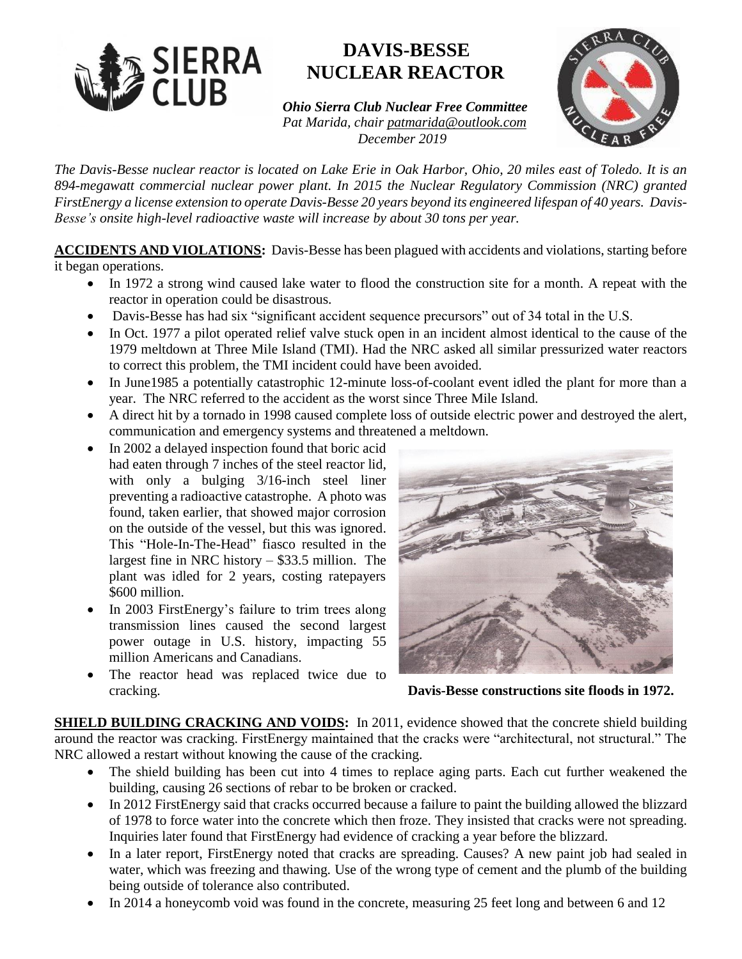

## **DAVIS-BESSE NUCLEAR REACTOR**

*Ohio Sierra Club Nuclear Free Committee Pat Marida, chair patmarida@outlook.com December 2019* 



*The Davis-Besse nuclear reactor is located on Lake Erie in Oak Harbor, Ohio, 20 miles east of Toledo. It is an 894-megawatt commercial nuclear power plant. In 2015 the Nuclear Regulatory Commission (NRC) granted FirstEnergy a license extension to operate Davis-Besse 20 years beyond its engineered lifespan of 40 years. Davis-Besse's onsite high-level radioactive waste will increase by about 30 tons per year.* 

**ACCIDENTS AND VIOLATIONS:** Davis-Besse has been plagued with accidents and violations, starting before it began operations.

- In 1972 a strong wind caused lake water to flood the construction site for a month. A repeat with the reactor in operation could be disastrous.
- Davis-Besse has had six "significant accident sequence precursors" out of 34 total in the U.S.
- In Oct. 1977 a pilot operated relief valve stuck open in an incident almost identical to the cause of the 1979 meltdown at Three Mile Island (TMI). Had the NRC asked all similar pressurized water reactors to correct this problem, the TMI incident could have been avoided.
- In June1985 a potentially catastrophic 12-minute loss-of-coolant event idled the plant for more than a year. The NRC referred to the accident as the worst since Three Mile Island.
- A direct hit by a tornado in 1998 caused complete loss of outside electric power and destroyed the alert, communication and emergency systems and threatened a meltdown.
- In 2002 a delayed inspection found that boric acid had eaten through 7 inches of the steel reactor lid, with only a bulging  $3/16$ -inch steel liner preventing a radioactive catastrophe. A photo was found, taken earlier, that showed major corrosion on the outside of the vessel, but this was ignored. This "Hole-In-The-Head" fiasco resulted in the largest fine in NRC history – \$33.5 million. The plant was idled for 2 years, costing ratepayers \$600 million.
- In 2003 FirstEnergy's failure to trim trees along transmission lines caused the second largest power outage in U.S. history, impacting 55 million Americans and Canadians.
- The reactor head was replaced twice due to cracking. **Davis-Besse constructions site floods in 1972.**



**SHIELD BUILDING CRACKING AND VOIDS:** In 2011, evidence showed that the concrete shield building around the reactor was cracking. FirstEnergy maintained that the cracks were "architectural, not structural." The NRC allowed a restart without knowing the cause of the cracking.

- The shield building has been cut into 4 times to replace aging parts. Each cut further weakened the building, causing 26 sections of rebar to be broken or cracked.
- In 2012 FirstEnergy said that cracks occurred because a failure to paint the building allowed the blizzard of 1978 to force water into the concrete which then froze. They insisted that cracks were not spreading. Inquiries later found that FirstEnergy had evidence of cracking a year before the blizzard.
- In a later report, FirstEnergy noted that cracks are spreading. Causes? A new paint job had sealed in water, which was freezing and thawing. Use of the wrong type of cement and the plumb of the building being outside of tolerance also contributed.
- In 2014 a honeycomb void was found in the concrete, measuring 25 feet long and between 6 and 12